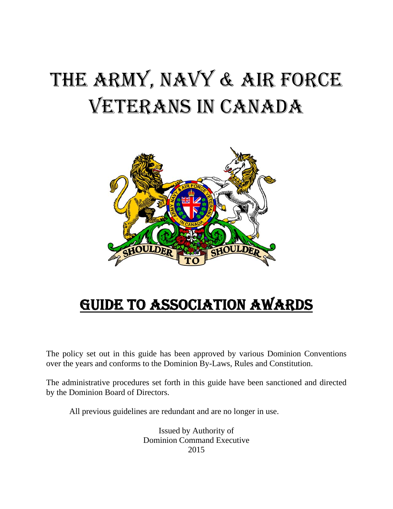# THE ARMY, NAVY & AIR FORCE VETERANS IN CANADA



# GUIDE TO ASSOCIATION AWARDS

The policy set out in this guide has been approved by various Dominion Conventions over the years and conforms to the Dominion By-Laws, Rules and Constitution.

The administrative procedures set forth in this guide have been sanctioned and directed by the Dominion Board of Directors.

All previous guidelines are redundant and are no longer in use.

 Issued by Authority of Dominion Command Executive 2015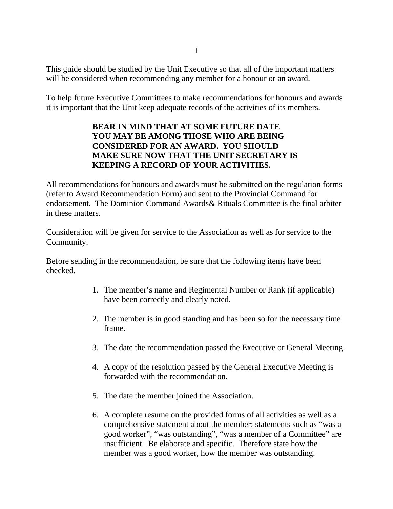This guide should be studied by the Unit Executive so that all of the important matters will be considered when recommending any member for a honour or an award.

To help future Executive Committees to make recommendations for honours and awards it is important that the Unit keep adequate records of the activities of its members.

#### **BEAR IN MIND THAT AT SOME FUTURE DATE YOU MAY BE AMONG THOSE WHO ARE BEING CONSIDERED FOR AN AWARD. YOU SHOULD MAKE SURE NOW THAT THE UNIT SECRETARY IS KEEPING A RECORD OF YOUR ACTIVITIES.**

All recommendations for honours and awards must be submitted on the regulation forms (refer to Award Recommendation Form) and sent to the Provincial Command for endorsement. The Dominion Command Awards& Rituals Committee is the final arbiter in these matters.

Consideration will be given for service to the Association as well as for service to the Community.

Before sending in the recommendation, be sure that the following items have been checked.

- 1. The member's name and Regimental Number or Rank (if applicable) have been correctly and clearly noted.
- 2. The member is in good standing and has been so for the necessary time frame.
- 3. The date the recommendation passed the Executive or General Meeting.
- 4. A copy of the resolution passed by the General Executive Meeting is forwarded with the recommendation.
- 5. The date the member joined the Association.
- 6. A complete resume on the provided forms of all activities as well as a comprehensive statement about the member: statements such as "was a good worker", "was outstanding", "was a member of a Committee" are insufficient. Be elaborate and specific. Therefore state how the member was a good worker, how the member was outstanding.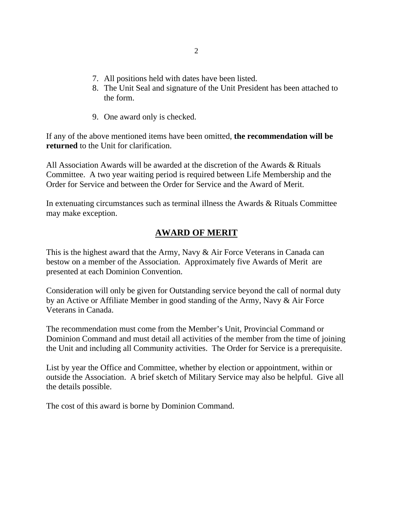- 7. All positions held with dates have been listed.
- 8. The Unit Seal and signature of the Unit President has been attached to the form.
- 9. One award only is checked.

If any of the above mentioned items have been omitted, **the recommendation will be returned** to the Unit for clarification.

All Association Awards will be awarded at the discretion of the Awards & Rituals Committee. A two year waiting period is required between Life Membership and the Order for Service and between the Order for Service and the Award of Merit.

In extenuating circumstances such as terminal illness the Awards & Rituals Committee may make exception.

# **AWARD OF MERIT**

This is the highest award that the Army, Navy & Air Force Veterans in Canada can bestow on a member of the Association. Approximately five Awards of Merit are presented at each Dominion Convention.

Consideration will only be given for Outstanding service beyond the call of normal duty by an Active or Affiliate Member in good standing of the Army, Navy & Air Force Veterans in Canada.

The recommendation must come from the Member's Unit, Provincial Command or Dominion Command and must detail all activities of the member from the time of joining the Unit and including all Community activities. The Order for Service is a prerequisite.

List by year the Office and Committee, whether by election or appointment, within or outside the Association. A brief sketch of Military Service may also be helpful. Give all the details possible.

The cost of this award is borne by Dominion Command.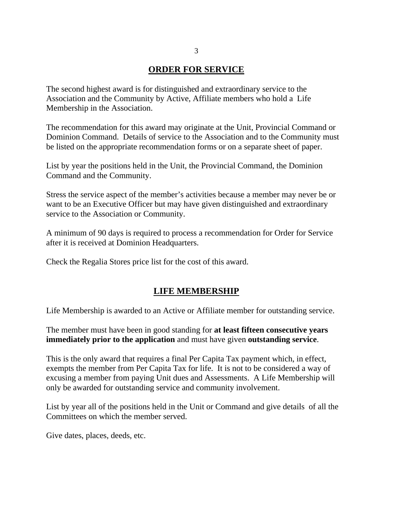### **ORDER FOR SERVICE**

The second highest award is for distinguished and extraordinary service to the Association and the Community by Active, Affiliate members who hold a Life Membership in the Association.

The recommendation for this award may originate at the Unit, Provincial Command or Dominion Command. Details of service to the Association and to the Community must be listed on the appropriate recommendation forms or on a separate sheet of paper.

List by year the positions held in the Unit, the Provincial Command, the Dominion Command and the Community.

Stress the service aspect of the member's activities because a member may never be or want to be an Executive Officer but may have given distinguished and extraordinary service to the Association or Community.

A minimum of 90 days is required to process a recommendation for Order for Service after it is received at Dominion Headquarters.

Check the Regalia Stores price list for the cost of this award.

#### **LIFE MEMBERSHIP**

Life Membership is awarded to an Active or Affiliate member for outstanding service.

The member must have been in good standing for **at least fifteen consecutive years immediately prior to the application** and must have given **outstanding service**.

This is the only award that requires a final Per Capita Tax payment which, in effect, exempts the member from Per Capita Tax for life. It is not to be considered a way of excusing a member from paying Unit dues and Assessments. A Life Membership will only be awarded for outstanding service and community involvement.

List by year all of the positions held in the Unit or Command and give details of all the Committees on which the member served.

Give dates, places, deeds, etc.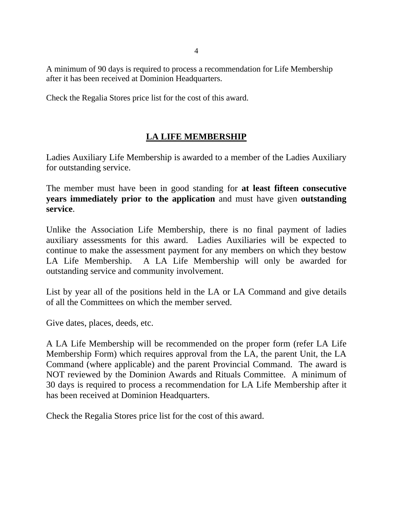A minimum of 90 days is required to process a recommendation for Life Membership after it has been received at Dominion Headquarters.

Check the Regalia Stores price list for the cost of this award.

# **LA LIFE MEMBERSHIP**

Ladies Auxiliary Life Membership is awarded to a member of the Ladies Auxiliary for outstanding service.

The member must have been in good standing for **at least fifteen consecutive years immediately prior to the application** and must have given **outstanding service**.

Unlike the Association Life Membership, there is no final payment of ladies auxiliary assessments for this award. Ladies Auxiliaries will be expected to continue to make the assessment payment for any members on which they bestow LA Life Membership. A LA Life Membership will only be awarded for outstanding service and community involvement.

List by year all of the positions held in the LA or LA Command and give details of all the Committees on which the member served.

Give dates, places, deeds, etc.

A LA Life Membership will be recommended on the proper form (refer LA Life Membership Form) which requires approval from the LA, the parent Unit, the LA Command (where applicable) and the parent Provincial Command. The award is NOT reviewed by the Dominion Awards and Rituals Committee. A minimum of 30 days is required to process a recommendation for LA Life Membership after it has been received at Dominion Headquarters.

Check the Regalia Stores price list for the cost of this award.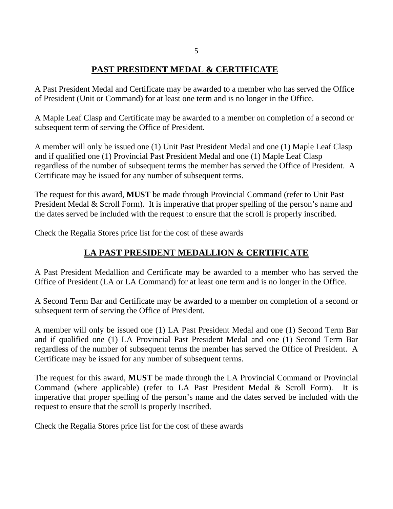### **PAST PRESIDENT MEDAL & CERTIFICATE**

A Past President Medal and Certificate may be awarded to a member who has served the Office of President (Unit or Command) for at least one term and is no longer in the Office.

A Maple Leaf Clasp and Certificate may be awarded to a member on completion of a second or subsequent term of serving the Office of President.

A member will only be issued one (1) Unit Past President Medal and one (1) Maple Leaf Clasp and if qualified one (1) Provincial Past President Medal and one (1) Maple Leaf Clasp regardless of the number of subsequent terms the member has served the Office of President. A Certificate may be issued for any number of subsequent terms.

The request for this award, **MUST** be made through Provincial Command (refer to Unit Past President Medal & Scroll Form). It is imperative that proper spelling of the person's name and the dates served be included with the request to ensure that the scroll is properly inscribed.

Check the Regalia Stores price list for the cost of these awards

# **LA PAST PRESIDENT MEDALLION & CERTIFICATE**

A Past President Medallion and Certificate may be awarded to a member who has served the Office of President (LA or LA Command) for at least one term and is no longer in the Office.

A Second Term Bar and Certificate may be awarded to a member on completion of a second or subsequent term of serving the Office of President.

A member will only be issued one (1) LA Past President Medal and one (1) Second Term Bar and if qualified one (1) LA Provincial Past President Medal and one (1) Second Term Bar regardless of the number of subsequent terms the member has served the Office of President. A Certificate may be issued for any number of subsequent terms.

The request for this award, **MUST** be made through the LA Provincial Command or Provincial Command (where applicable) (refer to LA Past President Medal & Scroll Form). It is imperative that proper spelling of the person's name and the dates served be included with the request to ensure that the scroll is properly inscribed.

Check the Regalia Stores price list for the cost of these awards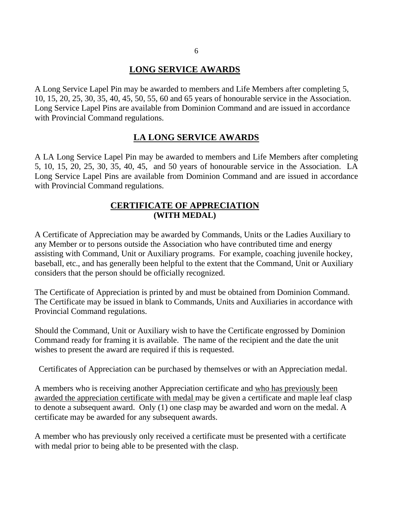### **LONG SERVICE AWARDS**

A Long Service Lapel Pin may be awarded to members and Life Members after completing 5, 10, 15, 20, 25, 30, 35, 40, 45, 50, 55, 60 and 65 years of honourable service in the Association. Long Service Lapel Pins are available from Dominion Command and are issued in accordance with Provincial Command regulations.

#### **LA LONG SERVICE AWARDS**

A LA Long Service Lapel Pin may be awarded to members and Life Members after completing 5, 10, 15, 20, 25, 30, 35, 40, 45, and 50 years of honourable service in the Association. LA Long Service Lapel Pins are available from Dominion Command and are issued in accordance with Provincial Command regulations.

#### **CERTIFICATE OF APPRECIATION (WITH MEDAL)**

A Certificate of Appreciation may be awarded by Commands, Units or the Ladies Auxiliary to any Member or to persons outside the Association who have contributed time and energy assisting with Command, Unit or Auxiliary programs. For example, coaching juvenile hockey, baseball, etc., and has generally been helpful to the extent that the Command, Unit or Auxiliary considers that the person should be officially recognized.

The Certificate of Appreciation is printed by and must be obtained from Dominion Command. The Certificate may be issued in blank to Commands, Units and Auxiliaries in accordance with Provincial Command regulations.

Should the Command, Unit or Auxiliary wish to have the Certificate engrossed by Dominion Command ready for framing it is available. The name of the recipient and the date the unit wishes to present the award are required if this is requested.

Certificates of Appreciation can be purchased by themselves or with an Appreciation medal.

A members who is receiving another Appreciation certificate and who has previously been awarded the appreciation certificate with medal may be given a certificate and maple leaf clasp to denote a subsequent award. Only (1) one clasp may be awarded and worn on the medal. A certificate may be awarded for any subsequent awards.

A member who has previously only received a certificate must be presented with a certificate with medal prior to being able to be presented with the clasp.